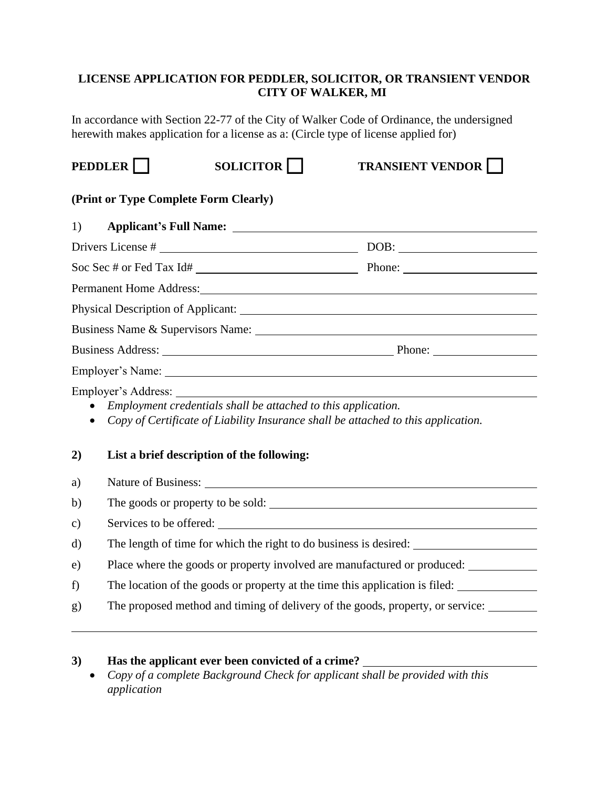#### **LICENSE APPLICATION FOR PEDDLER, SOLICITOR, OR TRANSIENT VENDOR CITY OF WALKER, MI**

In accordance with Section 22-77 of the City of Walker Code of Ordinance, the undersigned herewith makes application for a license as a: (Circle type of license applied for)

**PEDDLER SOLICITOR TRANSIENT VENDOR** 

# **(Print or Type Complete Form Clearly)**

| 1)            | Applicant's Full Name: <u>contract the contract of the contract of the contract of the contract of the contract of the contract of the contract of the contract of the contract of the contract of the contract of the contract </u> |  |  |
|---------------|--------------------------------------------------------------------------------------------------------------------------------------------------------------------------------------------------------------------------------------|--|--|
|               |                                                                                                                                                                                                                                      |  |  |
|               |                                                                                                                                                                                                                                      |  |  |
|               | Permanent Home Address: 2008 and 2008 and 2008 and 2008 and 2008 and 2008 and 2008 and 2008 and 2008 and 2008 and 2008 and 2008 and 2008 and 2008 and 2008 and 2008 and 2008 and 2008 and 2008 and 2008 and 2008 and 2008 and        |  |  |
|               |                                                                                                                                                                                                                                      |  |  |
|               |                                                                                                                                                                                                                                      |  |  |
|               |                                                                                                                                                                                                                                      |  |  |
|               |                                                                                                                                                                                                                                      |  |  |
| 2)            | Employment credentials shall be attached to this application.<br>Copy of Certificate of Liability Insurance shall be attached to this application.<br>List a brief description of the following:                                     |  |  |
| a)            | Nature of Business: Nature of Business:                                                                                                                                                                                              |  |  |
| $\mathbf{b}$  | The goods or property to be sold:                                                                                                                                                                                                    |  |  |
| $\mathbf{c})$ |                                                                                                                                                                                                                                      |  |  |
| d)            |                                                                                                                                                                                                                                      |  |  |
| e)            | Place where the goods or property involved are manufactured or produced:                                                                                                                                                             |  |  |
| f)            | The location of the goods or property at the time this application is filed:                                                                                                                                                         |  |  |
| g)            | The proposed method and timing of delivery of the goods, property, or service:                                                                                                                                                       |  |  |

#### **3) Has the applicant ever been convicted of a crime?**

• *Copy of a complete Background Check for applicant shall be provided with this application*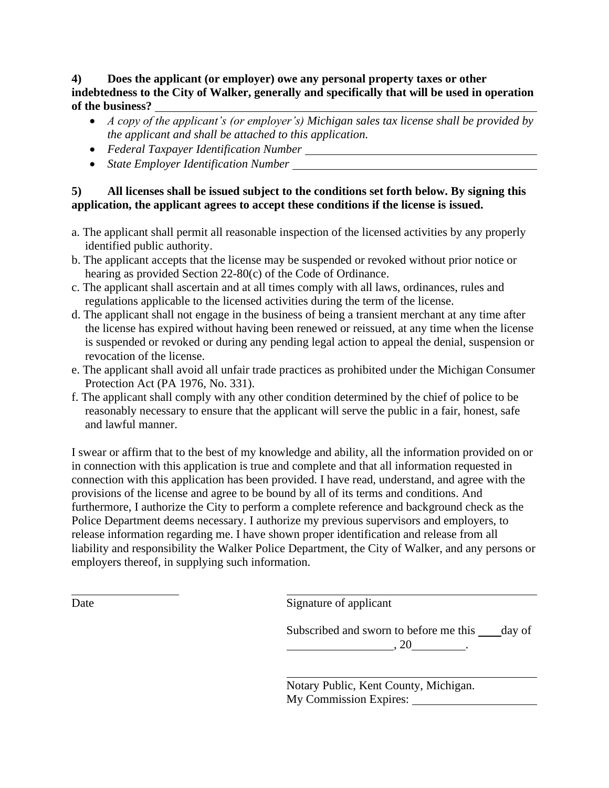#### **4) Does the applicant (or employer) owe any personal property taxes or other indebtedness to the City of Walker, generally and specifically that will be used in operation of the business?**

- *A copy of the applicant's (or employer's) Michigan sales tax license shall be provided by the applicant and shall be attached to this application.*
- *Federal Taxpayer Identification Number*
- *State Employer Identification Number*

### **5) All licenses shall be issued subject to the conditions set forth below. By signing this application, the applicant agrees to accept these conditions if the license is issued.**

- a. The applicant shall permit all reasonable inspection of the licensed activities by any properly identified public authority.
- b. The applicant accepts that the license may be suspended or revoked without prior notice or hearing as provided Section 22-80(c) of the Code of Ordinance.
- c. The applicant shall ascertain and at all times comply with all laws, ordinances, rules and regulations applicable to the licensed activities during the term of the license.
- d. The applicant shall not engage in the business of being a transient merchant at any time after the license has expired without having been renewed or reissued, at any time when the license is suspended or revoked or during any pending legal action to appeal the denial, suspension or revocation of the license.
- e. The applicant shall avoid all unfair trade practices as prohibited under the Michigan Consumer Protection Act (PA 1976, No. 331).
- f. The applicant shall comply with any other condition determined by the chief of police to be reasonably necessary to ensure that the applicant will serve the public in a fair, honest, safe and lawful manner.

I swear or affirm that to the best of my knowledge and ability, all the information provided on or in connection with this application is true and complete and that all information requested in connection with this application has been provided. I have read, understand, and agree with the provisions of the license and agree to be bound by all of its terms and conditions. And furthermore, I authorize the City to perform a complete reference and background check as the Police Department deems necessary. I authorize my previous supervisors and employers, to release information regarding me. I have shown proper identification and release from all liability and responsibility the Walker Police Department, the City of Walker, and any persons or employers thereof, in supplying such information.

Date Signature of applicant

Subscribed and sworn to before me this day of  $, 20$ 

Notary Public, Kent County, Michigan. My Commission Expires: